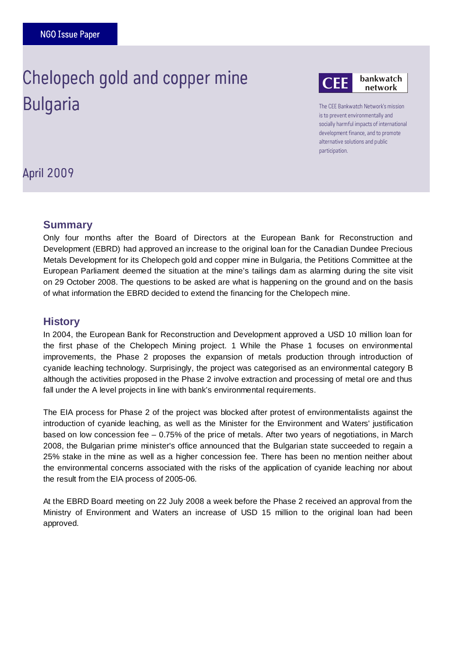# ļ Chelopech gold and copper mine **Bulgaria**



The CEE Bankwatch Network's mission is to prevent environmentally and socially harmful impacts of international development finance, and to promote alternative solutions and public participation.

April 2009

## **Summary**

Only four months after the Board of Directors at the European Bank for Reconstruction and Development (EBRD) had approved an increase to the original loan for the Canadian Dundee Precious Metals Development for its Chelopech gold and copper mine in Bulgaria, the Petitions Committee at the European Parliament deemed the situation at the mine's tailings dam as alarming during the site visit on 29 October 2008. The questions to be asked are what is happening on the ground and on the basis of what information the EBRD decided to extend the financing for the Chelopech mine.

#### **History**

In 2004, the European Bank for Reconstruction and Development approved a USD 10 million loan for the first phase of the Chelopech Mining project. 1 While the Phase 1 focuses on environmental improvements, the Phase 2 proposes the expansion of metals production through introduction of cyanide leaching technology. Surprisingly, the project was categorised as an environmental category B although the activities proposed in the Phase 2 involve extraction and processing of metal ore and thus fall under the A level projects in line with bank's environmental requirements.

The EIA process for Phase 2 of the project was blocked after protest of environmentalists against the introduction of cyanide leaching, as well as the Minister for the Environment and Waters' justification based on low concession fee – 0.75% of the price of metals. After two years of negotiations, in March 2008, the Bulgarian prime minister's office announced that the Bulgarian state succeeded to regain a 25% stake in the mine as well as a higher concession fee. There has been no mention neither about the environmental concerns associated with the risks of the application of cyanide leaching nor about the result from the EIA process of 2005-06.

At the EBRD Board meeting on 22 July 2008 a week before the Phase 2 received an approval from the Ministry of Environment and Waters an increase of USD 15 million to the original loan had been approved.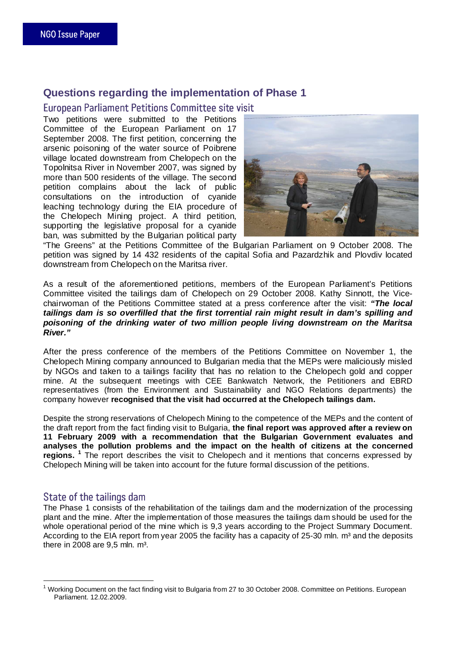# **Questions regarding the implementation of Phase 1**

#### European Parliament Petitions Committee site visit

Two petitions were submitted to the Petitions Committee of the European Parliament on 17 September 2008. The first petition, concerning the arsenic poisoning of the water source of Poibrene village located downstream from Chelopech on the Topolnitsa River in November 2007, was signed by more than 500 residents of the village. The second petition complains about the lack of public consultations on the introduction of cyanide leaching technology during the EIA procedure of the Chelopech Mining project. A third petition, supporting the legislative proposal for a cyanide ban, was submitted by the Bulgarian political party



"The Greens" at the Petitions Committee of the Bulgarian Parliament on 9 October 2008. The petition was signed by 14 432 residents of the capital Sofia and Pazardzhik and Plovdiv located downstream from Chelopech on the Maritsa river.

As a result of the aforementioned petitions, members of the European Parliament's Petitions Committee visited the tailings dam of Chelopech on 29 October 2008. Kathy Sinnott, the Vicechairwoman of the Petitions Committee stated at a press conference after the visit: **"The local tailings dam is so overfilled that the first torrential rain might result in dam's spilling and poisoning of the drinking water of two million people living downstream on the Maritsa River."** 

After the press conference of the members of the Petitions Committee on November 1, the Chelopech Mining company announced to Bulgarian media that the MEPs were maliciously misled by NGOs and taken to a tailings facility that has no relation to the Chelopech gold and copper mine. At the subsequent meetings with CEE Bankwatch Network, the Petitioners and EBRD representatives (from the Environment and Sustainability and NGO Relations departments) the company however **recognised that the visit had occurred at the Chelopech tailings dam.** 

Despite the strong reservations of Chelopech Mining to the competence of the MEPs and the content of the draft report from the fact finding visit to Bulgaria, **the final report was approved after a review on 11 February 2009 with a recommendation that the Bulgarian Government evaluates and analyses the pollution problems and the impact on the health of citizens at the concerned regions. <sup>1</sup>** The report describes the visit to Chelopech and it mentions that concerns expressed by Chelopech Mining will be taken into account for the future formal discussion of the petitions.

#### State of the tailings dam

The Phase 1 consists of the rehabilitation of the tailings dam and the modernization of the processing plant and the mine. After the implementation of those measures the tailings dam should be used for the whole operational period of the mine which is 9,3 years according to the Project Summary Document. According to the EIA report from year 2005 the facility has a capacity of 25-30 mln.  $m<sup>3</sup>$  and the deposits there in 2008 are  $9.5$  mln.  $m<sup>3</sup>$ .

 $\overline{a}$ 1 Working Document on the fact finding visit to Bulgaria from 27 to 30 October 2008. Committee on Petitions. European Parliament. 12.02.2009.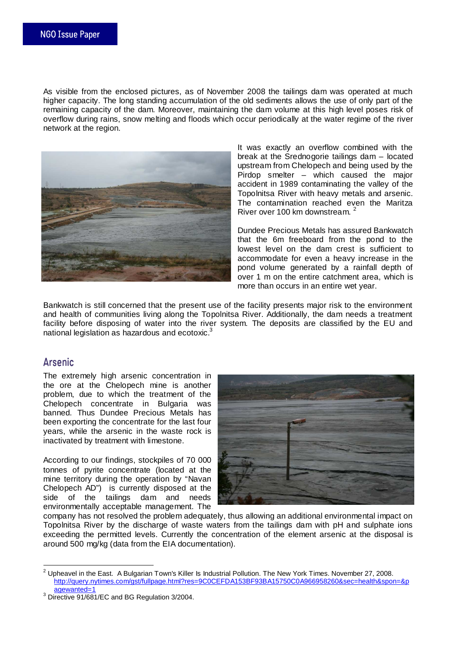As visible from the enclosed pictures, as of November 2008 the tailings dam was operated at much higher capacity. The long standing accumulation of the old sediments allows the use of only part of the remaining capacity of the dam. Moreover, maintaining the dam volume at this high level poses risk of overflow during rains, snow melting and floods which occur periodically at the water regime of the river network at the region.



It was exactly an overflow combined with the break at the Srednogorie tailings dam – located upstream from Chelopech and being used by the Pirdop smelter – which caused the major accident in 1989 contaminating the valley of the Topolnitsa River with heavy metals and arsenic. The contamination reached even the Maritza River over 100 km downstream.<sup>2</sup>

Dundee Precious Metals has assured Bankwatch that the 6m freeboard from the pond to the lowest level on the dam crest is sufficient to accommodate for even a heavy increase in the pond volume generated by a rainfall depth of over 1 m on the entire catchment area, which is more than occurs in an entire wet year.

Bankwatch is still concerned that the present use of the facility presents major risk to the environment and health of communities living along the Topolnitsa River. Additionally, the dam needs a treatment facility before disposing of water into the river system. The deposits are classified by the EU and national legislation as hazardous and ecotoxic.<sup>3</sup>

# **Arsenic**

 $\overline{a}$ 

The extremely high arsenic concentration in the ore at the Chelopech mine is another problem, due to which the treatment of the Chelopech concentrate in Bulgaria was banned. Thus Dundee Precious Metals has been exporting the concentrate for the last four years, while the arsenic in the waste rock is inactivated by treatment with limestone.

According to our findings, stockpiles of 70 000 tonnes of pyrite concentrate (located at the mine territory during the operation by "Navan Chelopech AD") is currently disposed at the side of the tailings dam and needs environmentally acceptable management. The



company has not resolved the problem adequately, thus allowing an additional environmental impact on Topolnitsa River by the discharge of waste waters from the tailings dam with pH and sulphate ions exceeding the permitted levels. Currently the concentration of the element arsenic at the disposal is around 500 mg/kg (data from the EIA documentation).

 $^2$  Upheavel in the East. A Bulgarian Town's Killer Is Industrial Pollution. The New York Times. November 27, 2008. http://query.nytimes.com/gst/fullpage.html?res=9C0CEFDA153BF93BA15750C0A966958260&sec=health&spon=&p agewanted=1

<sup>3</sup> Directive 91/681/EC and BG Regulation 3/2004.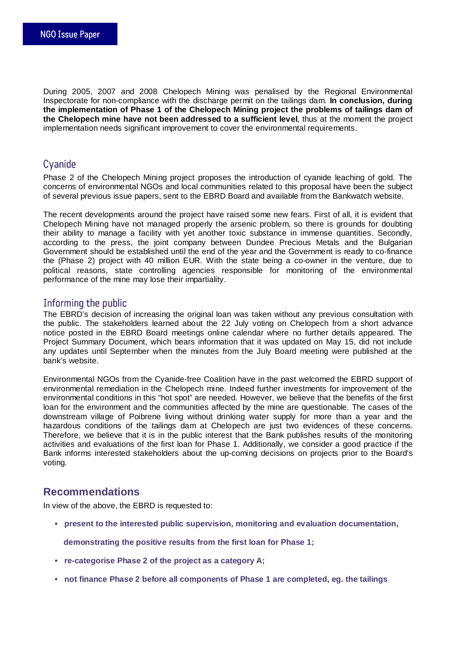During 2005, 2007 and 2008 Chelopech Mining was penalised by the Regional Environmental Inspectorate for non-compliance with the discharge permit on the tailings dam. **In conclusion, during the implementation of Phase 1 of the Chelopech Mining project the problems of tailings dam of the Chelopech mine have not been addressed to a sufficient level**, thus at the moment the project implementation needs significant improvement to cover the environmental requirements.

# **Cyanide**

Phase 2 of the Chelopech Mining project proposes the introduction of cyanide leaching of gold. The concerns of environmental NGOs and local communities related to this proposal have been the subject of several previous issue papers, sent to the EBRD Board and available from the Bankwatch website.

The recent developments around the project have raised some new fears. First of all, it is evident that Chelopech Mining have not managed properly the arsenic problem, so there is grounds for doubting their ability to manage a facility with yet another toxic substance in immense quantities. Secondly, according to the press, the joint company between Dundee Precious Metals and the Bulgarian Government should be established until the end of the year and the Government is ready to co-finance the (Phase 2) project with 40 million EUR. With the state being a co-owner in the venture, due to political reasons, state controlling agencies responsible for monitoring of the environmental performance of the mine may lose their impartiality.

## Informing the public Informing the public

The EBRD's decision of increasing the original loan was taken without any previous consultation with the public. The stakeholders learned about the 22 July voting on Chelopech from a short advance notice posted in the EBRD Board meetings online calendar where no further details appeared. The Project Summary Document, which bears information that it was updated on May 15, did not include any updates until September when the minutes from the July Board meeting were published at the bank's website.

Environmental NGOs from the Cyanide-free Coalition have in the past welcomed the EBRD support of environmental remediation in the Chelopech mine. Indeed further investments for improvement of the environmental conditions in this "hot spot" are needed. However, we believe that the benefits of the first loan for the environment and the communities affected by the mine are questionable. The cases of the downstream village of Poibrene living without drinking water supply for more than a year and the hazardous conditions of the tailings dam at Chelopech are just two evidences of these concerns. Therefore, we believe that it is in the public interest that the Bank publishes results of the monitoring activities and evaluations of the first loan for Phase 1. Additionally, we consider a good practice if the Bank informs interested stakeholders about the up-coming decisions on projects prior to the Board's voting.

# **Recommendations**

In view of the above, the EBRD is requested to:

 **• present to the interested public supervision, monitoring and evaluation documentation,** 

 **demonstrating the positive results from the first loan for Phase 1;** 

- **re-categorise Phase 2 of the project as a category A;**
- **not finance Phase 2 before all components of Phase 1 are completed, eg. the tailings**